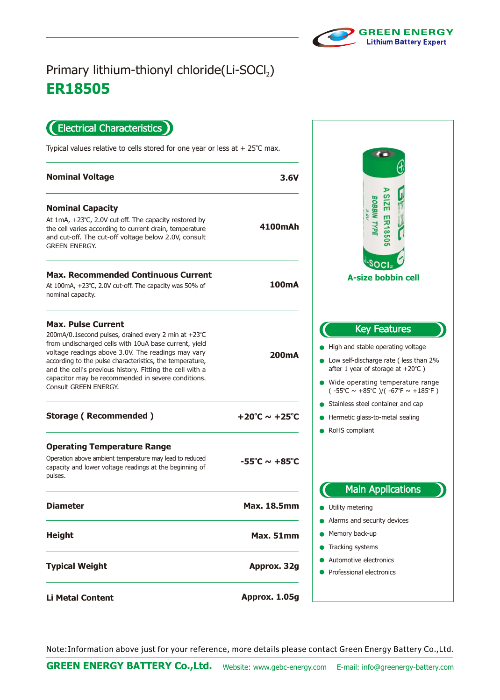

## **ER18505** Primary lithium-thionyl chloride(Li-SOCl2)

Electrical Characteristics  $\blacksquare$ 

Typical values relative to cells stored for one year or less at  $+25^{\circ}$ C max.

| <b>Nominal Voltage</b>                                                                                                                                                                                                                                                                                                                                                                                  | 3.6V                                 |                                                                                    |
|---------------------------------------------------------------------------------------------------------------------------------------------------------------------------------------------------------------------------------------------------------------------------------------------------------------------------------------------------------------------------------------------------------|--------------------------------------|------------------------------------------------------------------------------------|
| <b>Nominal Capacity</b><br>At $1mA$ , $+23^{\circ}C$ , 2.0V cut-off. The capacity restored by<br>the cell varies according to current drain, temperature<br>and cut-off. The cut-off voltage below 2.0V, consult<br><b>GREEN ENERGY.</b>                                                                                                                                                                | 4100mAh                              |                                                                                    |
| <b>Max. Recommended Continuous Current</b><br>At 100mA, $+23^{\circ}$ C, 2.0V cut-off. The capacity was 50% of<br>nominal capacity.                                                                                                                                                                                                                                                                     | 100mA                                | A-s                                                                                |
| <b>Max. Pulse Current</b><br>200mA/0.1second pulses, drained every 2 min at +23°C<br>from undischarged cells with 10uA base current, yield<br>voltage readings above 3.0V. The readings may vary<br>according to the pulse characteristics, the temperature,<br>and the cell's previous history. Fitting the cell with a<br>capacitor may be recommended in severe conditions.<br>Consult GREEN ENERGY. | 200 <sub>m</sub> A                   | High and s<br>Low self-di<br>after 1 yea<br>$\bullet$ Wide ope<br>( -55°C $\sim$ - |
| <b>Storage (Recommended)</b>                                                                                                                                                                                                                                                                                                                                                                            | +20°C $\sim$ +25°C                   | Stainless s<br>Hermetic g<br>RoHS com                                              |
| <b>Operating Temperature Range</b><br>Operation above ambient temperature may lead to reduced<br>capacity and lower voltage readings at the beginning of<br>pulses.                                                                                                                                                                                                                                     | $-55^{\circ}$ C $\sim +85^{\circ}$ C |                                                                                    |
| <b>Diameter</b>                                                                                                                                                                                                                                                                                                                                                                                         | <b>Max. 18.5mm</b>                   | Ma<br>Utility met                                                                  |
| <b>Height</b>                                                                                                                                                                                                                                                                                                                                                                                           | <b>Max. 51mm</b>                     | Alarms and<br>Memory ba<br>Tracking sy                                             |
| <b>Typical Weight</b>                                                                                                                                                                                                                                                                                                                                                                                   | Approx. 32g                          | Automotive<br>Profession                                                           |
| <b>Li Metal Content</b>                                                                                                                                                                                                                                                                                                                                                                                 | Approx. 1.05g                        |                                                                                    |

**CO SIZE ER18505 BOBBIN TYPE** 3.6V soc **A-size bobbin cell** Key Features stable operating voltage ischarge rate ( less than 2% ar of storage at  $+20^{\circ}$ C ) rating temperature range +85°C )/( -67°F  $\sim$  +185°F ) steel container and cap Jlass-to-metal sealing pliant in Applications ering d security devices ack-up ystems e electronics al electronics

Note:Information above just for your reference, more details please contact Green Energy Battery Co.,Ltd.